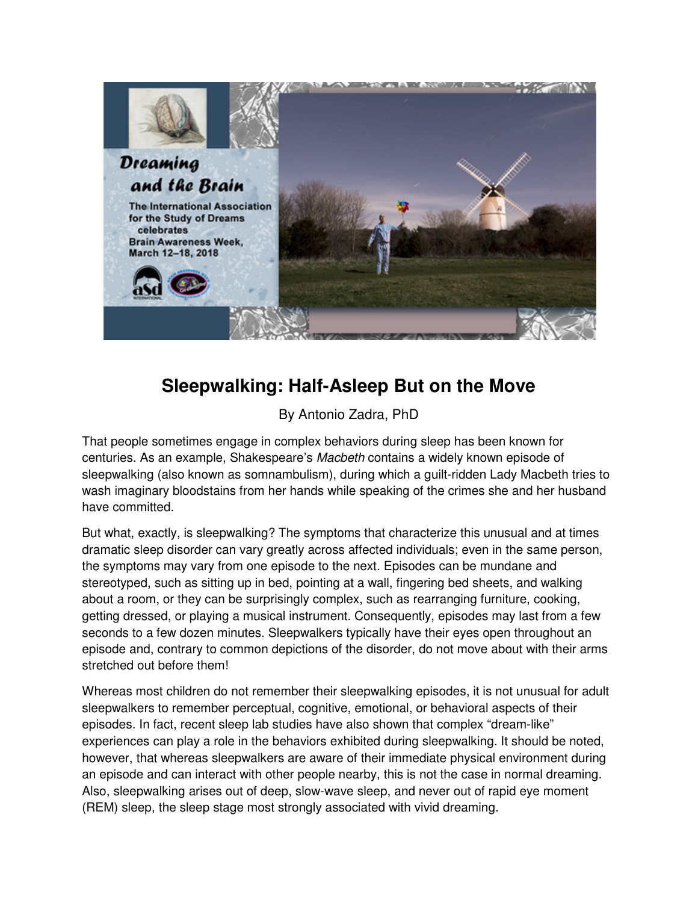

## **Sleepwalking: Half-Asleep But on the Move**

By Antonio Zadra, PhD

That people sometimes engage in complex behaviors during sleep has been known for centuries. As an example, Shakespeare's Macbeth contains a widely known episode of sleepwalking (also known as somnambulism), during which a guilt-ridden Lady Macbeth tries to wash imaginary bloodstains from her hands while speaking of the crimes she and her husband have committed.

But what, exactly, is sleepwalking? The symptoms that characterize this unusual and at times dramatic sleep disorder can vary greatly across affected individuals; even in the same person, the symptoms may vary from one episode to the next. Episodes can be mundane and stereotyped, such as sitting up in bed, pointing at a wall, fingering bed sheets, and walking about a room, or they can be surprisingly complex, such as rearranging furniture, cooking, getting dressed, or playing a musical instrument. Consequently, episodes may last from a few seconds to a few dozen minutes. Sleepwalkers typically have their eyes open throughout an episode and, contrary to common depictions of the disorder, do not move about with their arms stretched out before them!

Whereas most children do not remember their sleepwalking episodes, it is not unusual for adult sleepwalkers to remember perceptual, cognitive, emotional, or behavioral aspects of their episodes. In fact, recent sleep lab studies have also shown that complex "dream-like" experiences can play a role in the behaviors exhibited during sleepwalking. It should be noted, however, that whereas sleepwalkers are aware of their immediate physical environment during an episode and can interact with other people nearby, this is not the case in normal dreaming. Also, sleepwalking arises out of deep, slow-wave sleep, and never out of rapid eye moment (REM) sleep, the sleep stage most strongly associated with vivid dreaming.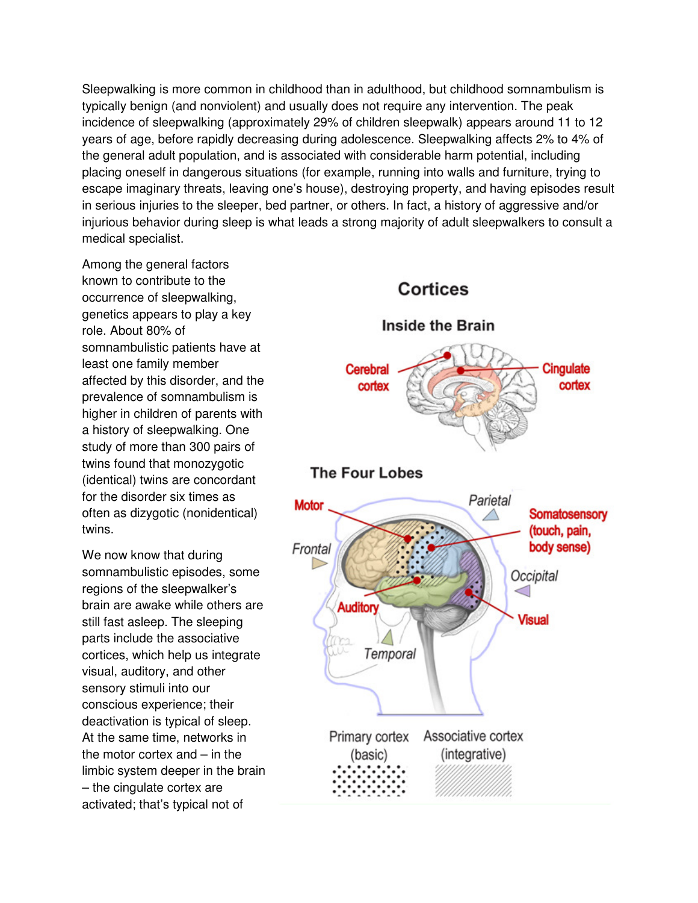Sleepwalking is more common in childhood than in adulthood, but childhood somnambulism is typically benign (and nonviolent) and usually does not require any intervention. The peak incidence of sleepwalking (approximately 29% of children sleepwalk) appears around 11 to 12 years of age, before rapidly decreasing during adolescence. Sleepwalking affects 2% to 4% of the general adult population, and is associated with considerable harm potential, including placing oneself in dangerous situations (for example, running into walls and furniture, trying to escape imaginary threats, leaving one's house), destroying property, and having episodes result in serious injuries to the sleeper, bed partner, or others. In fact, a history of aggressive and/or injurious behavior during sleep is what leads a strong majority of adult sleepwalkers to consult a medical specialist.

Among the general factors known to contribute to the occurrence of sleepwalking, genetics appears to play a key role. About 80% of somnambulistic patients have at least one family member affected by this disorder, and the prevalence of somnambulism is higher in children of parents with a history of sleepwalking. One study of more than 300 pairs of twins found that monozygotic (identical) twins are concordant for the disorder six times as often as dizygotic (nonidentical) twins.

We now know that during somnambulistic episodes, some regions of the sleepwalker's brain are awake while others are still fast asleep. The sleeping parts include the associative cortices, which help us integrate visual, auditory, and other sensory stimuli into our conscious experience; their deactivation is typical of sleep. At the same time, networks in the motor cortex and – in the limbic system deeper in the brain – the cingulate cortex are activated; that's typical not of

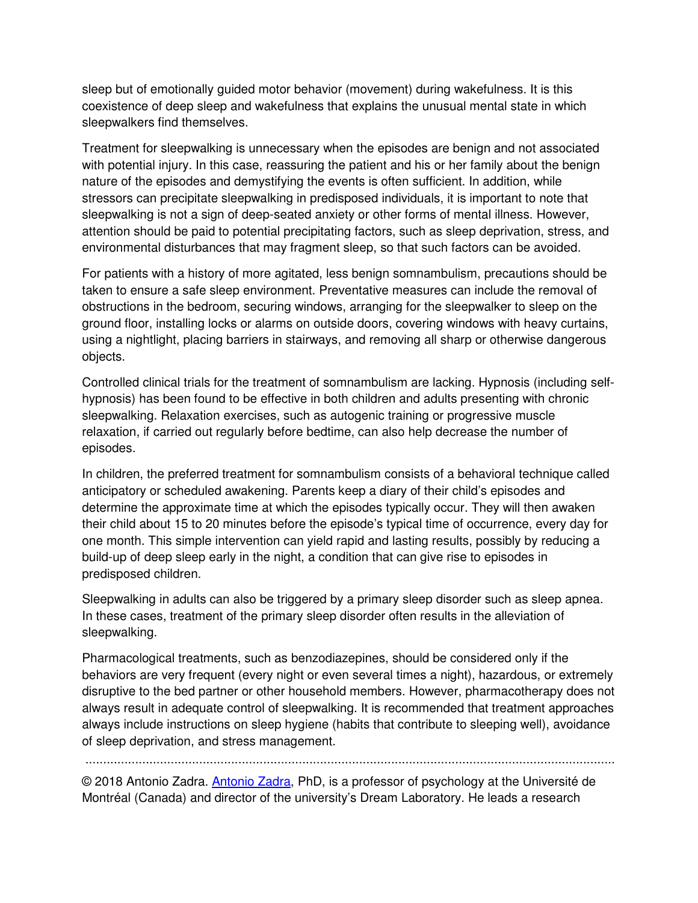sleep but of emotionally guided motor behavior (movement) during wakefulness. It is this coexistence of deep sleep and wakefulness that explains the unusual mental state in which sleepwalkers find themselves.

Treatment for sleepwalking is unnecessary when the episodes are benign and not associated with potential injury. In this case, reassuring the patient and his or her family about the benign nature of the episodes and demystifying the events is often sufficient. In addition, while stressors can precipitate sleepwalking in predisposed individuals, it is important to note that sleepwalking is not a sign of deep-seated anxiety or other forms of mental illness. However, attention should be paid to potential precipitating factors, such as sleep deprivation, stress, and environmental disturbances that may fragment sleep, so that such factors can be avoided.

For patients with a history of more agitated, less benign somnambulism, precautions should be taken to ensure a safe sleep environment. Preventative measures can include the removal of obstructions in the bedroom, securing windows, arranging for the sleepwalker to sleep on the ground floor, installing locks or alarms on outside doors, covering windows with heavy curtains, using a nightlight, placing barriers in stairways, and removing all sharp or otherwise dangerous objects.

Controlled clinical trials for the treatment of somnambulism are lacking. Hypnosis (including selfhypnosis) has been found to be effective in both children and adults presenting with chronic sleepwalking. Relaxation exercises, such as autogenic training or progressive muscle relaxation, if carried out regularly before bedtime, can also help decrease the number of episodes.

In children, the preferred treatment for somnambulism consists of a behavioral technique called anticipatory or scheduled awakening. Parents keep a diary of their child's episodes and determine the approximate time at which the episodes typically occur. They will then awaken their child about 15 to 20 minutes before the episode's typical time of occurrence, every day for one month. This simple intervention can yield rapid and lasting results, possibly by reducing a build-up of deep sleep early in the night, a condition that can give rise to episodes in predisposed children.

Sleepwalking in adults can also be triggered by a primary sleep disorder such as sleep apnea. In these cases, treatment of the primary sleep disorder often results in the alleviation of sleepwalking.

Pharmacological treatments, such as benzodiazepines, should be considered only if the behaviors are very frequent (every night or even several times a night), hazardous, or extremely disruptive to the bed partner or other household members. However, pharmacotherapy does not always result in adequate control of sleepwalking. It is recommended that treatment approaches always include instructions on sleep hygiene (habits that contribute to sleeping well), avoidance of sleep deprivation, and stress management.

.....................................................................................................................................................

© 2018 Antonio Zadra. Antonio Zadra, PhD, is a professor of psychology at the Université de Montréal (Canada) and director of the university's Dream Laboratory. He leads a research